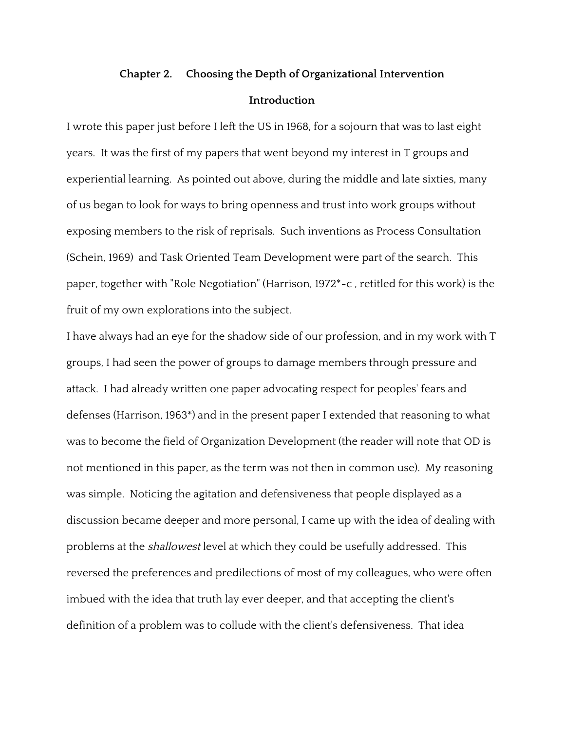# **Chapter 2. Choosing the Depth of Organizational Intervention Introduction**

I wrote this paper just before I left the US in 1968, for a sojourn that was to last eight years. It was the first of my papers that went beyond my interest in T groups and experiential learning. As pointed out above, during the middle and late sixties, many of us began to look for ways to bring openness and trust into work groups without exposing members to the risk of reprisals. Such inventions as Process Consultation (Schein, 1969) and Task Oriented Team Development were part of the search. This paper, together with "Role Negotiation" (Harrison, 1972\*-c , retitled for this work) is the fruit of my own explorations into the subject.

I have always had an eye for the shadow side of our profession, and in my work with T groups, I had seen the power of groups to damage members through pressure and attack. I had already written one paper advocating respect for peoples' fears and defenses (Harrison, 1963\*) and in the present paper I extended that reasoning to what was to become the field of Organization Development (the reader will note that OD is not mentioned in this paper, as the term was not then in common use). My reasoning was simple. Noticing the agitation and defensiveness that people displayed as a discussion became deeper and more personal, I came up with the idea of dealing with problems at the shallowest level at which they could be usefully addressed. This reversed the preferences and predilections of most of my colleagues, who were often imbued with the idea that truth lay ever deeper, and that accepting the client's definition of a problem was to collude with the client's defensiveness. That idea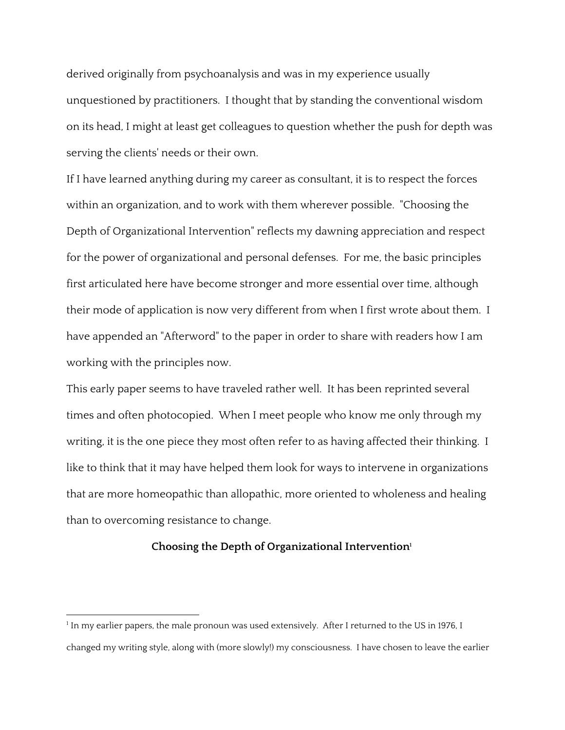derived originally from psychoanalysis and was in my experience usually unquestioned by practitioners. I thought that by standing the conventional wisdom on its head, I might at least get colleagues to question whether the push for depth was serving the clients' needs or their own.

If I have learned anything during my career as consultant, it is to respect the forces within an organization, and to work with them wherever possible. "Choosing the Depth of Organizational Intervention" reflects my dawning appreciation and respect for the power of organizational and personal defenses. For me, the basic principles first articulated here have become stronger and more essential over time, although their mode of application is now very different from when I first wrote about them. I have appended an "Afterword" to the paper in order to share with readers how I am working with the principles now.

This early paper seems to have traveled rather well. It has been reprinted several times and often photocopied. When I meet people who know me only through my writing, it is the one piece they most often refer to as having affected their thinking. I like to think that it may have helped them look for ways to intervene in organizations that are more homeopathic than allopathic, more oriented to wholeness and healing than to overcoming resistance to change.

# **Choosing the Depth of Organizational Intervention<sup>1</sup>**

 $^{\rm 1}$  In my earlier papers, the male pronoun was used extensively.  $\,$  After I returned to the US in 1976, I  $\,$ changed my writing style, along with (more slowly!) my consciousness. I have chosen to leave the earlier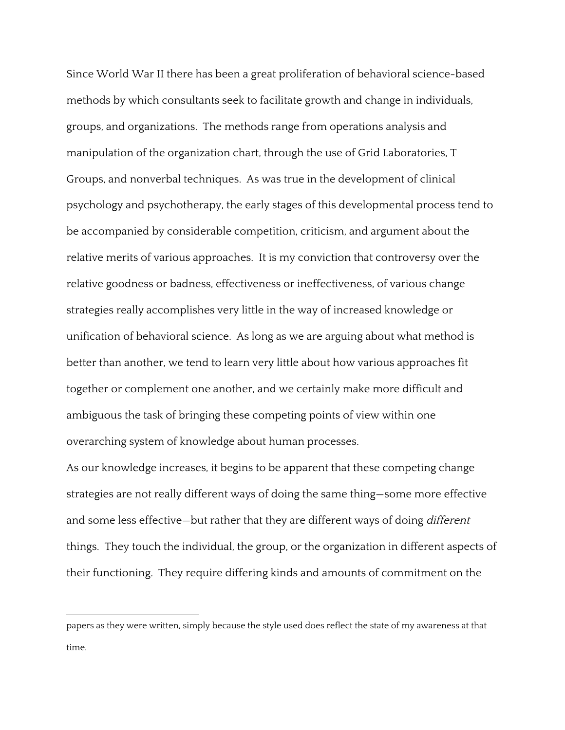Since World War II there has been a great proliferation of behavioral science-based methods by which consultants seek to facilitate growth and change in individuals, groups, and organizations. The methods range from operations analysis and manipulation of the organization chart, through the use of Grid Laboratories, T Groups, and nonverbal techniques. As was true in the development of clinical psychology and psychotherapy, the early stages of this developmental process tend to be accompanied by considerable competition, criticism, and argument about the relative merits of various approaches. It is my conviction that controversy over the relative goodness or badness, effectiveness or ineffectiveness, of various change strategies really accomplishes very little in the way of increased knowledge or unification of behavioral science. As long as we are arguing about what method is better than another, we tend to learn very little about how various approaches fit together or complement one another, and we certainly make more difficult and ambiguous the task of bringing these competing points of view within one overarching system of knowledge about human processes.

As our knowledge increases, it begins to be apparent that these competing change strategies are not really different ways of doing the same thing—some more effective and some less effective—but rather that they are different ways of doing *different* things. They touch the individual, the group, or the organization in different aspects of their functioning. They require differing kinds and amounts of commitment on the

papers as they were written, simply because the style used does reflect the state of my awareness at that time.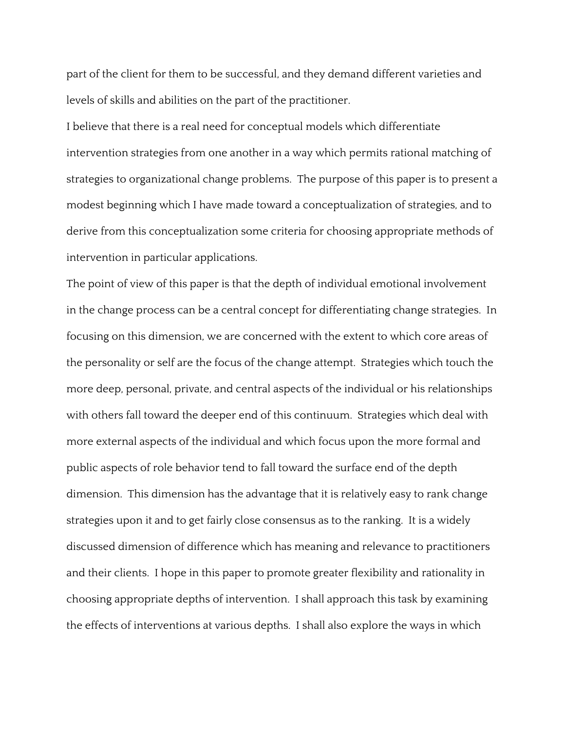part of the client for them to be successful, and they demand different varieties and levels of skills and abilities on the part of the practitioner.

I believe that there is a real need for conceptual models which differentiate intervention strategies from one another in a way which permits rational matching of strategies to organizational change problems. The purpose of this paper is to present a modest beginning which I have made toward a conceptualization of strategies, and to derive from this conceptualization some criteria for choosing appropriate methods of intervention in particular applications.

The point of view of this paper is that the depth of individual emotional involvement in the change process can be a central concept for differentiating change strategies. In focusing on this dimension, we are concerned with the extent to which core areas of the personality or self are the focus of the change attempt. Strategies which touch the more deep, personal, private, and central aspects of the individual or his relationships with others fall toward the deeper end of this continuum. Strategies which deal with more external aspects of the individual and which focus upon the more formal and public aspects of role behavior tend to fall toward the surface end of the depth dimension. This dimension has the advantage that it is relatively easy to rank change strategies upon it and to get fairly close consensus as to the ranking. It is a widely discussed dimension of difference which has meaning and relevance to practitioners and their clients. I hope in this paper to promote greater flexibility and rationality in choosing appropriate depths of intervention. I shall approach this task by examining the effects of interventions at various depths. I shall also explore the ways in which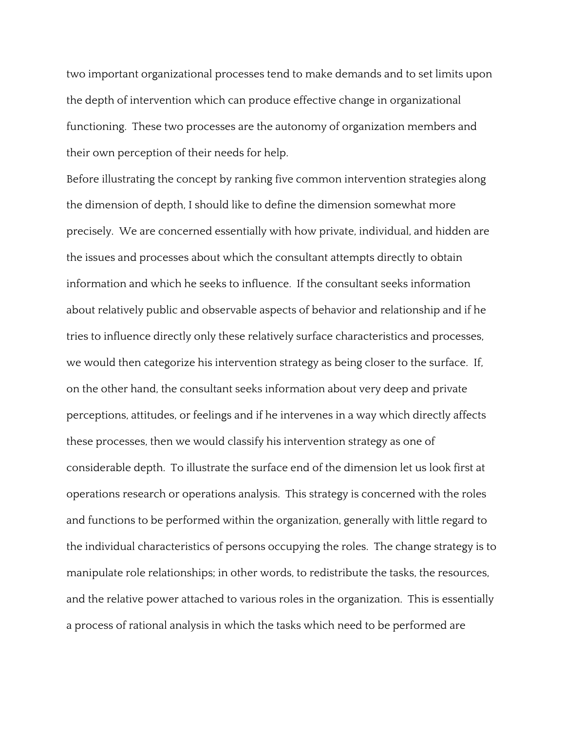two important organizational processes tend to make demands and to set limits upon the depth of intervention which can produce effective change in organizational functioning. These two processes are the autonomy of organization members and their own perception of their needs for help.

Before illustrating the concept by ranking five common intervention strategies along the dimension of depth, I should like to define the dimension somewhat more precisely. We are concerned essentially with how private, individual, and hidden are the issues and processes about which the consultant attempts directly to obtain information and which he seeks to influence. If the consultant seeks information about relatively public and observable aspects of behavior and relationship and if he tries to influence directly only these relatively surface characteristics and processes, we would then categorize his intervention strategy as being closer to the surface. If, on the other hand, the consultant seeks information about very deep and private perceptions, attitudes, or feelings and if he intervenes in a way which directly affects these processes, then we would classify his intervention strategy as one of considerable depth. To illustrate the surface end of the dimension let us look first at operations research or operations analysis. This strategy is concerned with the roles and functions to be performed within the organization, generally with little regard to the individual characteristics of persons occupying the roles. The change strategy is to manipulate role relationships; in other words, to redistribute the tasks, the resources, and the relative power attached to various roles in the organization. This is essentially a process of rational analysis in which the tasks which need to be performed are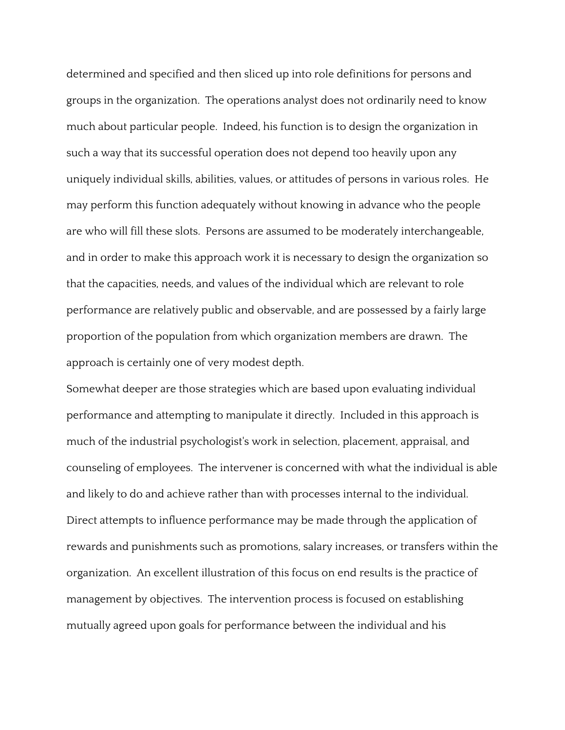determined and specified and then sliced up into role definitions for persons and groups in the organization. The operations analyst does not ordinarily need to know much about particular people. Indeed, his function is to design the organization in such a way that its successful operation does not depend too heavily upon any uniquely individual skills, abilities, values, or attitudes of persons in various roles. He may perform this function adequately without knowing in advance who the people are who will fill these slots. Persons are assumed to be moderately interchangeable, and in order to make this approach work it is necessary to design the organization so that the capacities, needs, and values of the individual which are relevant to role performance are relatively public and observable, and are possessed by a fairly large proportion of the population from which organization members are drawn. The approach is certainly one of very modest depth.

Somewhat deeper are those strategies which are based upon evaluating individual performance and attempting to manipulate it directly. Included in this approach is much of the industrial psychologist's work in selection, placement, appraisal, and counseling of employees. The intervener is concerned with what the individual is able and likely to do and achieve rather than with processes internal to the individual. Direct attempts to influence performance may be made through the application of rewards and punishments such as promotions, salary increases, or transfers within the organization. An excellent illustration of this focus on end results is the practice of management by objectives. The intervention process is focused on establishing mutually agreed upon goals for performance between the individual and his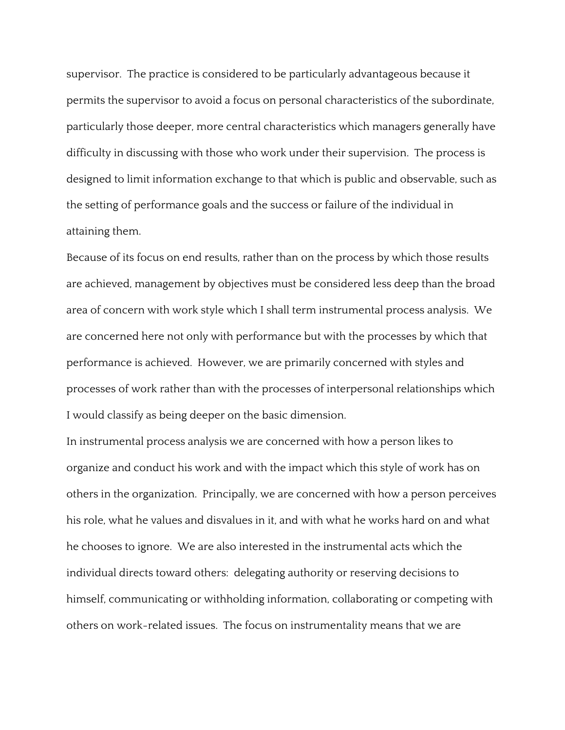supervisor. The practice is considered to be particularly advantageous because it permits the supervisor to avoid a focus on personal characteristics of the subordinate, particularly those deeper, more central characteristics which managers generally have difficulty in discussing with those who work under their supervision. The process is designed to limit information exchange to that which is public and observable, such as the setting of performance goals and the success or failure of the individual in attaining them.

Because of its focus on end results, rather than on the process by which those results are achieved, management by objectives must be considered less deep than the broad area of concern with work style which I shall term instrumental process analysis. We are concerned here not only with performance but with the processes by which that performance is achieved. However, we are primarily concerned with styles and processes of work rather than with the processes of interpersonal relationships which I would classify as being deeper on the basic dimension.

In instrumental process analysis we are concerned with how a person likes to organize and conduct his work and with the impact which this style of work has on others in the organization. Principally, we are concerned with how a person perceives his role, what he values and disvalues in it, and with what he works hard on and what he chooses to ignore. We are also interested in the instrumental acts which the individual directs toward others: delegating authority or reserving decisions to himself, communicating or withholding information, collaborating or competing with others on work-related issues. The focus on instrumentality means that we are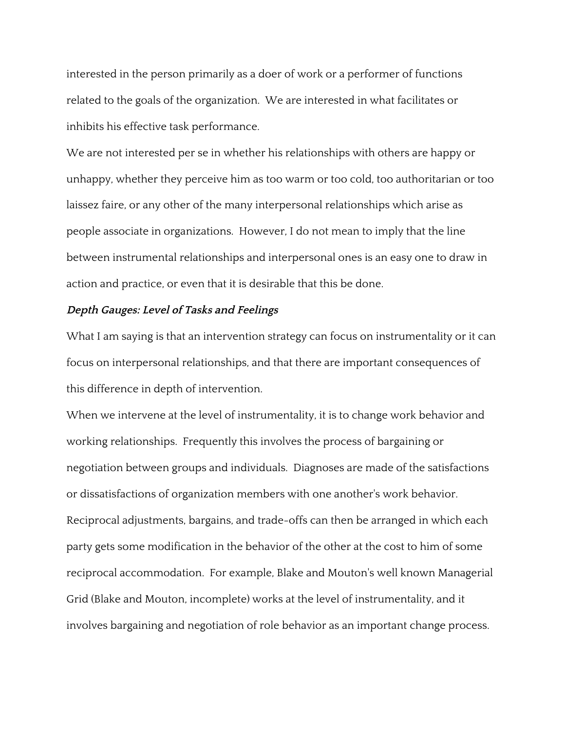interested in the person primarily as a doer of work or a performer of functions related to the goals of the organization. We are interested in what facilitates or inhibits his effective task performance.

We are not interested per se in whether his relationships with others are happy or unhappy, whether they perceive him as too warm or too cold, too authoritarian or too laissez faire, or any other of the many interpersonal relationships which arise as people associate in organizations. However, I do not mean to imply that the line between instrumental relationships and interpersonal ones is an easy one to draw in action and practice, or even that it is desirable that this be done.

## **Depth Gauges: Level of Tasks and Feelings**

What I am saying is that an intervention strategy can focus on instrumentality or it can focus on interpersonal relationships, and that there are important consequences of this difference in depth of intervention.

When we intervene at the level of instrumentality, it is to change work behavior and working relationships. Frequently this involves the process of bargaining or negotiation between groups and individuals. Diagnoses are made of the satisfactions or dissatisfactions of organization members with one another's work behavior. Reciprocal adjustments, bargains, and trade-offs can then be arranged in which each party gets some modification in the behavior of the other at the cost to him of some reciprocal accommodation. For example, Blake and Mouton's well known Managerial Grid (Blake and Mouton, incomplete) works at the level of instrumentality, and it involves bargaining and negotiation of role behavior as an important change process.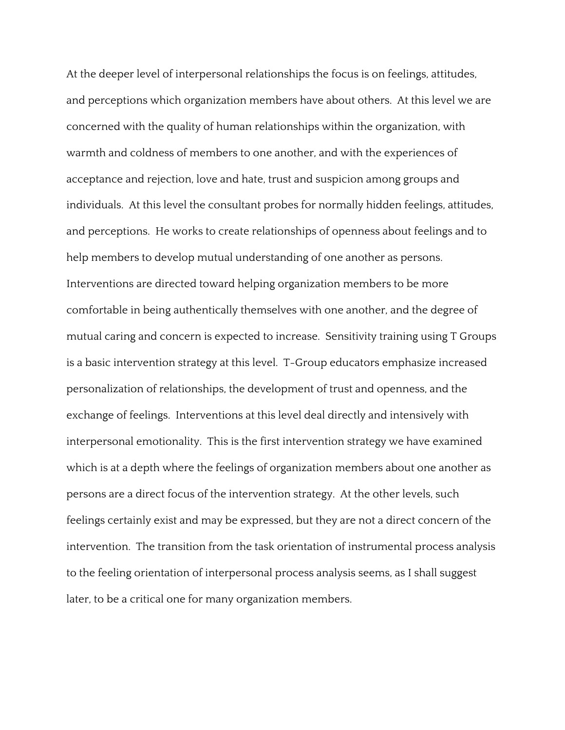At the deeper level of interpersonal relationships the focus is on feelings, attitudes, and perceptions which organization members have about others. At this level we are concerned with the quality of human relationships within the organization, with warmth and coldness of members to one another, and with the experiences of acceptance and rejection, love and hate, trust and suspicion among groups and individuals. At this level the consultant probes for normally hidden feelings, attitudes, and perceptions. He works to create relationships of openness about feelings and to help members to develop mutual understanding of one another as persons. Interventions are directed toward helping organization members to be more comfortable in being authentically themselves with one another, and the degree of mutual caring and concern is expected to increase. Sensitivity training using T Groups is a basic intervention strategy at this level. T-Group educators emphasize increased personalization of relationships, the development of trust and openness, and the exchange of feelings. Interventions at this level deal directly and intensively with interpersonal emotionality. This is the first intervention strategy we have examined which is at a depth where the feelings of organization members about one another as persons are a direct focus of the intervention strategy. At the other levels, such feelings certainly exist and may be expressed, but they are not a direct concern of the intervention. The transition from the task orientation of instrumental process analysis to the feeling orientation of interpersonal process analysis seems, as I shall suggest later, to be a critical one for many organization members.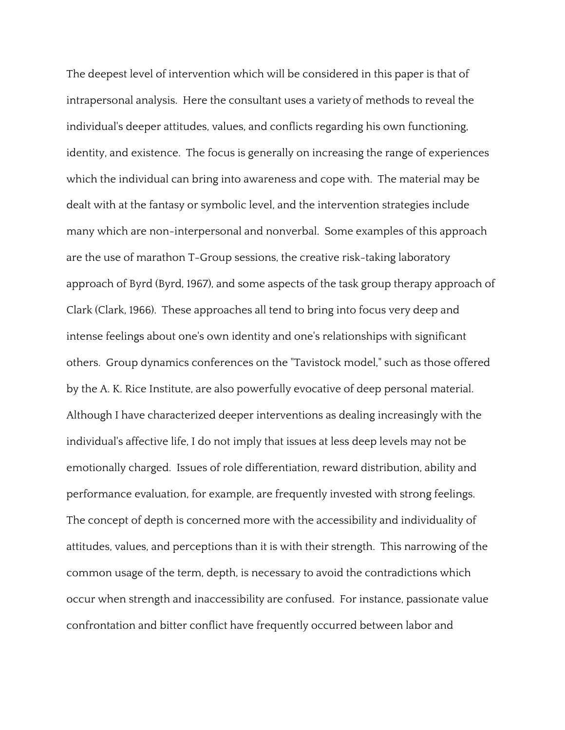The deepest level of intervention which will be considered in this paper is that of intrapersonal analysis. Here the consultant uses a variety of methods to reveal the individual's deeper attitudes, values, and conflicts regarding his own functioning, identity, and existence. The focus is generally on increasing the range of experiences which the individual can bring into awareness and cope with. The material may be dealt with at the fantasy or symbolic level, and the intervention strategies include many which are non-interpersonal and nonverbal. Some examples of this approach are the use of marathon T-Group sessions, the creative risk-taking laboratory approach of Byrd (Byrd, 1967), and some aspects of the task group therapy approach of Clark (Clark, 1966). These approaches all tend to bring into focus very deep and intense feelings about one's own identity and one's relationships with significant others. Group dynamics conferences on the "Tavistock model," such as those offered by the A. K. Rice Institute, are also powerfully evocative of deep personal material. Although I have characterized deeper interventions as dealing increasingly with the individual's affective life, I do not imply that issues at less deep levels may not be emotionally charged. Issues of role differentiation, reward distribution, ability and performance evaluation, for example, are frequently invested with strong feelings. The concept of depth is concerned more with the accessibility and individuality of attitudes, values, and perceptions than it is with their strength. This narrowing of the common usage of the term, depth, is necessary to avoid the contradictions which occur when strength and inaccessibility are confused. For instance, passionate value confrontation and bitter conflict have frequently occurred between labor and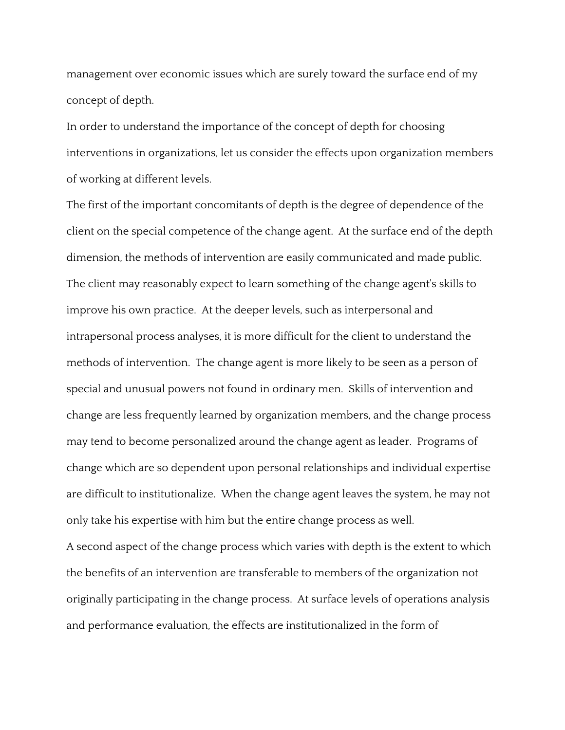management over economic issues which are surely toward the surface end of my concept of depth.

In order to understand the importance of the concept of depth for choosing interventions in organizations, let us consider the effects upon organization members of working at different levels.

The first of the important concomitants of depth is the degree of dependence of the client on the special competence of the change agent. At the surface end of the depth dimension, the methods of intervention are easily communicated and made public. The client may reasonably expect to learn something of the change agent's skills to improve his own practice. At the deeper levels, such as interpersonal and intrapersonal process analyses, it is more difficult for the client to understand the methods of intervention. The change agent is more likely to be seen as a person of special and unusual powers not found in ordinary men. Skills of intervention and change are less frequently learned by organization members, and the change process may tend to become personalized around the change agent as leader. Programs of change which are so dependent upon personal relationships and individual expertise are difficult to institutionalize. When the change agent leaves the system, he may not only take his expertise with him but the entire change process as well.

A second aspect of the change process which varies with depth is the extent to which the benefits of an intervention are transferable to members of the organization not originally participating in the change process. At surface levels of operations analysis and performance evaluation, the effects are institutionalized in the form of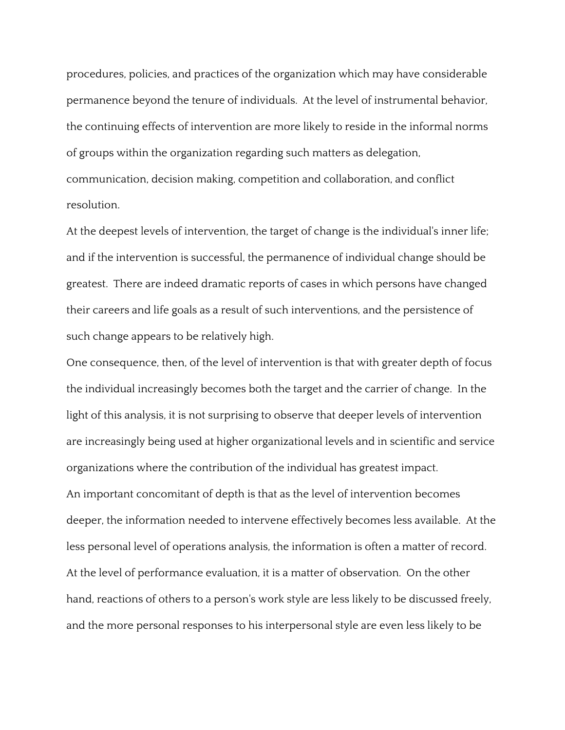procedures, policies, and practices of the organization which may have considerable permanence beyond the tenure of individuals. At the level of instrumental behavior, the continuing effects of intervention are more likely to reside in the informal norms of groups within the organization regarding such matters as delegation, communication, decision making, competition and collaboration, and conflict resolution.

At the deepest levels of intervention, the target of change is the individual's inner life; and if the intervention is successful, the permanence of individual change should be greatest. There are indeed dramatic reports of cases in which persons have changed their careers and life goals as a result of such interventions, and the persistence of such change appears to be relatively high.

One consequence, then, of the level of intervention is that with greater depth of focus the individual increasingly becomes both the target and the carrier of change. In the light of this analysis, it is not surprising to observe that deeper levels of intervention are increasingly being used at higher organizational levels and in scientific and service organizations where the contribution of the individual has greatest impact. An important concomitant of depth is that as the level of intervention becomes deeper, the information needed to intervene effectively becomes less available. At the less personal level of operations analysis, the information is often a matter of record. At the level of performance evaluation, it is a matter of observation. On the other hand, reactions of others to a person's work style are less likely to be discussed freely, and the more personal responses to his interpersonal style are even less likely to be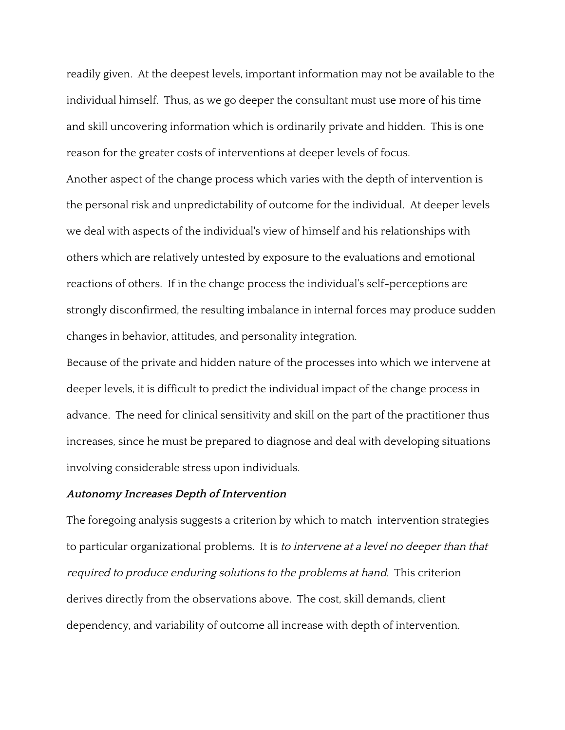readily given. At the deepest levels, important information may not be available to the individual himself. Thus, as we go deeper the consultant must use more of his time and skill uncovering information which is ordinarily private and hidden. This is one reason for the greater costs of interventions at deeper levels of focus.

Another aspect of the change process which varies with the depth of intervention is the personal risk and unpredictability of outcome for the individual. At deeper levels we deal with aspects of the individual's view of himself and his relationships with others which are relatively untested by exposure to the evaluations and emotional reactions of others. If in the change process the individual's self-perceptions are strongly disconfirmed, the resulting imbalance in internal forces may produce sudden changes in behavior, attitudes, and personality integration.

Because of the private and hidden nature of the processes into which we intervene at deeper levels, it is difficult to predict the individual impact of the change process in advance. The need for clinical sensitivity and skill on the part of the practitioner thus increases, since he must be prepared to diagnose and deal with developing situations involving considerable stress upon individuals.

## **Autonomy Increases Depth of Intervention**

The foregoing analysis suggests a criterion by which to match intervention strategies to particular organizational problems. It is to intervene at a level no deeper than that required to produce enduring solutions to the problems at hand. This criterion derives directly from the observations above. The cost, skill demands, client dependency, and variability of outcome all increase with depth of intervention.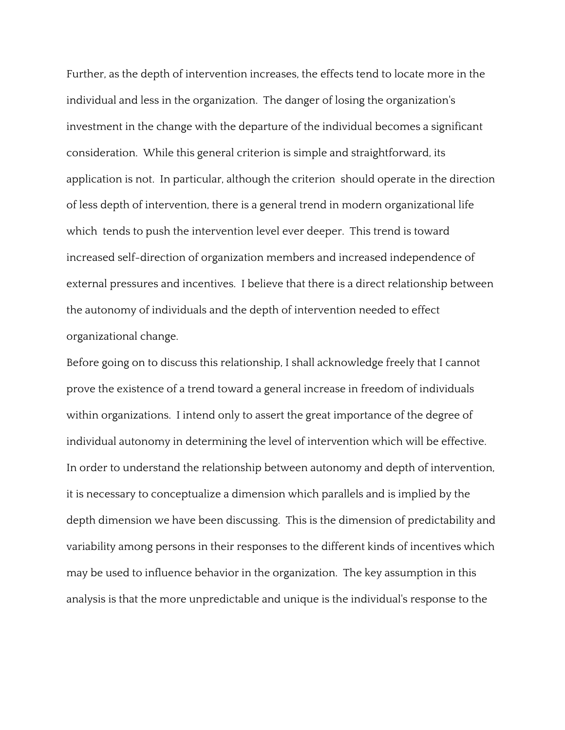Further, as the depth of intervention increases, the effects tend to locate more in the individual and less in the organization. The danger of losing the organization's investment in the change with the departure of the individual becomes a significant consideration. While this general criterion is simple and straightforward, its application is not. In particular, although the criterion should operate in the direction of less depth of intervention, there is a general trend in modern organizational life which tends to push the intervention level ever deeper. This trend is toward increased self-direction of organization members and increased independence of external pressures and incentives. I believe that there is a direct relationship between the autonomy of individuals and the depth of intervention needed to effect organizational change.

Before going on to discuss this relationship, I shall acknowledge freely that I cannot prove the existence of a trend toward a general increase in freedom of individuals within organizations. I intend only to assert the great importance of the degree of individual autonomy in determining the level of intervention which will be effective. In order to understand the relationship between autonomy and depth of intervention, it is necessary to conceptualize a dimension which parallels and is implied by the depth dimension we have been discussing. This is the dimension of predictability and variability among persons in their responses to the different kinds of incentives which may be used to influence behavior in the organization. The key assumption in this analysis is that the more unpredictable and unique is the individual's response to the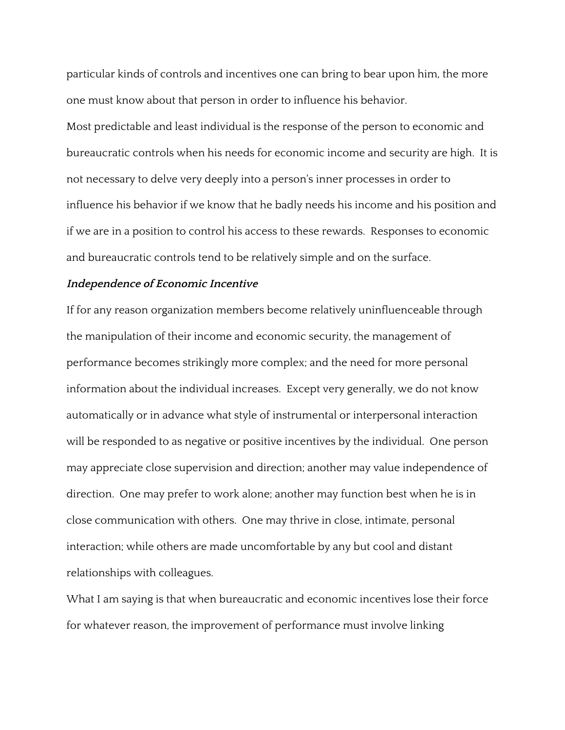particular kinds of controls and incentives one can bring to bear upon him, the more one must know about that person in order to influence his behavior.

Most predictable and least individual is the response of the person to economic and bureaucratic controls when his needs for economic income and security are high. It is not necessary to delve very deeply into a person's inner processes in order to influence his behavior if we know that he badly needs his income and his position and if we are in a position to control his access to these rewards. Responses to economic and bureaucratic controls tend to be relatively simple and on the surface.

## **Independence of Economic Incentive**

If for any reason organization members become relatively uninfluenceable through the manipulation of their income and economic security, the management of performance becomes strikingly more complex; and the need for more personal information about the individual increases. Except very generally, we do not know automatically or in advance what style of instrumental or interpersonal interaction will be responded to as negative or positive incentives by the individual. One person may appreciate close supervision and direction; another may value independence of direction. One may prefer to work alone; another may function best when he is in close communication with others. One may thrive in close, intimate, personal interaction; while others are made uncomfortable by any but cool and distant relationships with colleagues.

What I am saying is that when bureaucratic and economic incentives lose their force for whatever reason, the improvement of performance must involve linking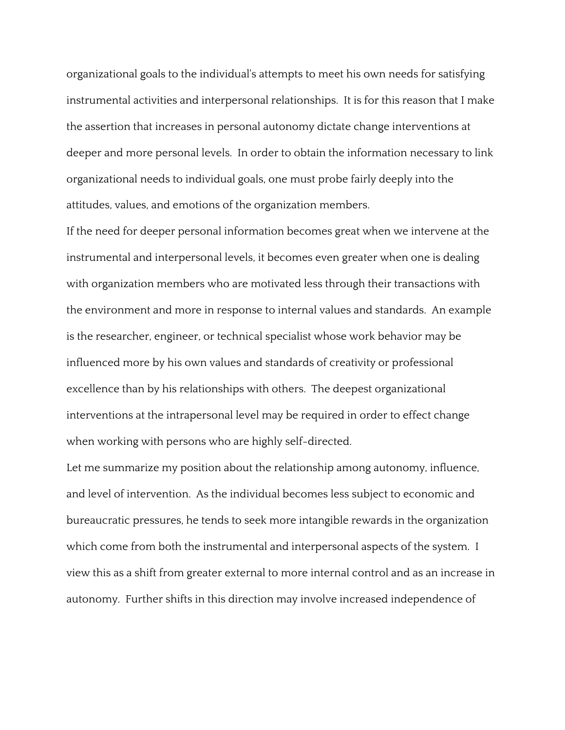organizational goals to the individual's attempts to meet his own needs for satisfying instrumental activities and interpersonal relationships. It is for this reason that I make the assertion that increases in personal autonomy dictate change interventions at deeper and more personal levels. In order to obtain the information necessary to link organizational needs to individual goals, one must probe fairly deeply into the attitudes, values, and emotions of the organization members.

If the need for deeper personal information becomes great when we intervene at the instrumental and interpersonal levels, it becomes even greater when one is dealing with organization members who are motivated less through their transactions with the environment and more in response to internal values and standards. An example is the researcher, engineer, or technical specialist whose work behavior may be influenced more by his own values and standards of creativity or professional excellence than by his relationships with others. The deepest organizational interventions at the intrapersonal level may be required in order to effect change when working with persons who are highly self-directed.

Let me summarize my position about the relationship among autonomy, influence, and level of intervention. As the individual becomes less subject to economic and bureaucratic pressures, he tends to seek more intangible rewards in the organization which come from both the instrumental and interpersonal aspects of the system. I view this as a shift from greater external to more internal control and as an increase in autonomy. Further shifts in this direction may involve increased independence of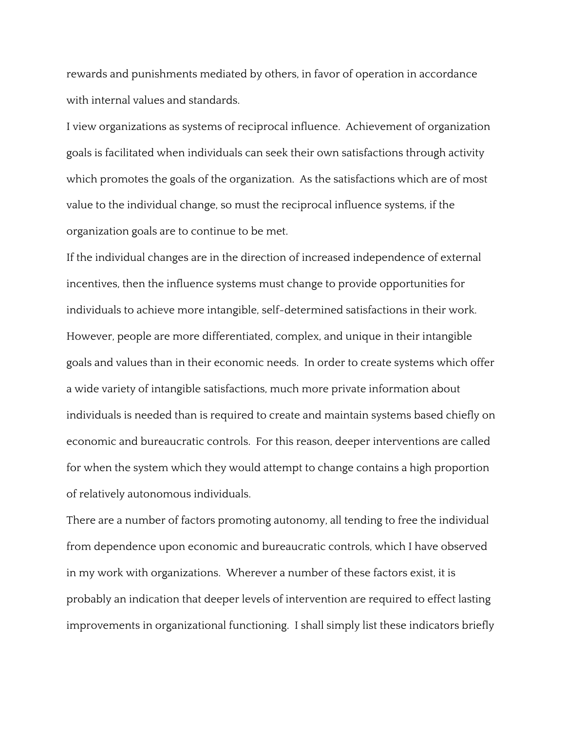rewards and punishments mediated by others, in favor of operation in accordance with internal values and standards.

I view organizations as systems of reciprocal influence. Achievement of organization goals is facilitated when individuals can seek their own satisfactions through activity which promotes the goals of the organization. As the satisfactions which are of most value to the individual change, so must the reciprocal influence systems, if the organization goals are to continue to be met.

If the individual changes are in the direction of increased independence of external incentives, then the influence systems must change to provide opportunities for individuals to achieve more intangible, self-determined satisfactions in their work. However, people are more differentiated, complex, and unique in their intangible goals and values than in their economic needs. In order to create systems which offer a wide variety of intangible satisfactions, much more private information about individuals is needed than is required to create and maintain systems based chiefly on economic and bureaucratic controls. For this reason, deeper interventions are called for when the system which they would attempt to change contains a high proportion of relatively autonomous individuals.

There are a number of factors promoting autonomy, all tending to free the individual from dependence upon economic and bureaucratic controls, which I have observed in my work with organizations. Wherever a number of these factors exist, it is probably an indication that deeper levels of intervention are required to effect lasting improvements in organizational functioning. I shall simply list these indicators briefly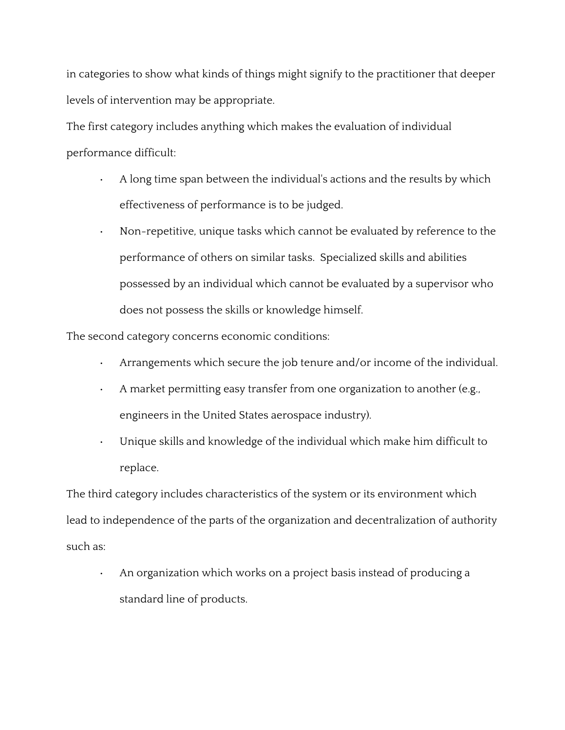in categories to show what kinds of things might signify to the practitioner that deeper levels of intervention may be appropriate.

The first category includes anything which makes the evaluation of individual performance difficult:

- A long time span between the individual's actions and the results by which effectiveness of performance is to be judged.
- Non-repetitive, unique tasks which cannot be evaluated by reference to the performance of others on similar tasks. Specialized skills and abilities possessed by an individual which cannot be evaluated by a supervisor who does not possess the skills or knowledge himself.

The second category concerns economic conditions:

- Arrangements which secure the job tenure and/or income of the individual.
- A market permitting easy transfer from one organization to another (e.g., engineers in the United States aerospace industry).
- Unique skills and knowledge of the individual which make him difficult to replace.

The third category includes characteristics of the system or its environment which lead to independence of the parts of the organization and decentralization of authority such as:

• An organization which works on a project basis instead of producing a standard line of products.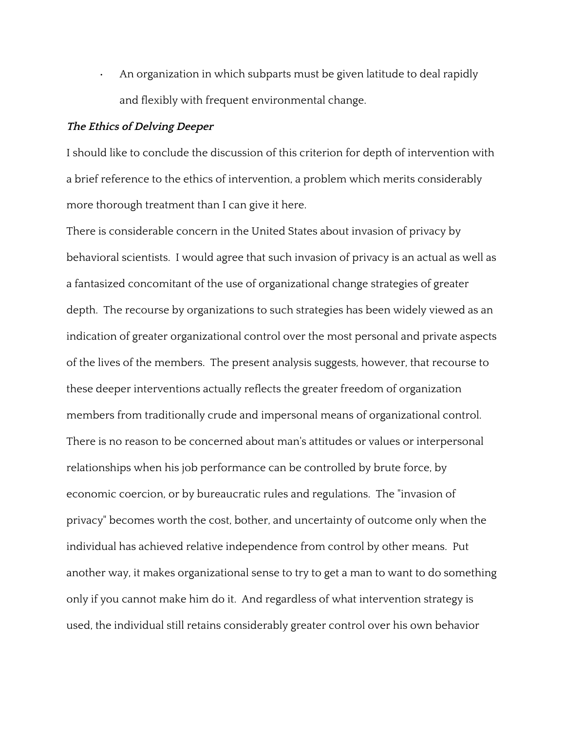• An organization in which subparts must be given latitude to deal rapidly and flexibly with frequent environmental change.

## **The Ethics of Delving Deeper**

I should like to conclude the discussion of this criterion for depth of intervention with a brief reference to the ethics of intervention, a problem which merits considerably more thorough treatment than I can give it here.

There is considerable concern in the United States about invasion of privacy by behavioral scientists. I would agree that such invasion of privacy is an actual as well as a fantasized concomitant of the use of organizational change strategies of greater depth. The recourse by organizations to such strategies has been widely viewed as an indication of greater organizational control over the most personal and private aspects of the lives of the members. The present analysis suggests, however, that recourse to these deeper interventions actually reflects the greater freedom of organization members from traditionally crude and impersonal means of organizational control. There is no reason to be concerned about man's attitudes or values or interpersonal relationships when his job performance can be controlled by brute force, by economic coercion, or by bureaucratic rules and regulations. The "invasion of privacy" becomes worth the cost, bother, and uncertainty of outcome only when the individual has achieved relative independence from control by other means. Put another way, it makes organizational sense to try to get a man to want to do something only if you cannot make him do it. And regardless of what intervention strategy is used, the individual still retains considerably greater control over his own behavior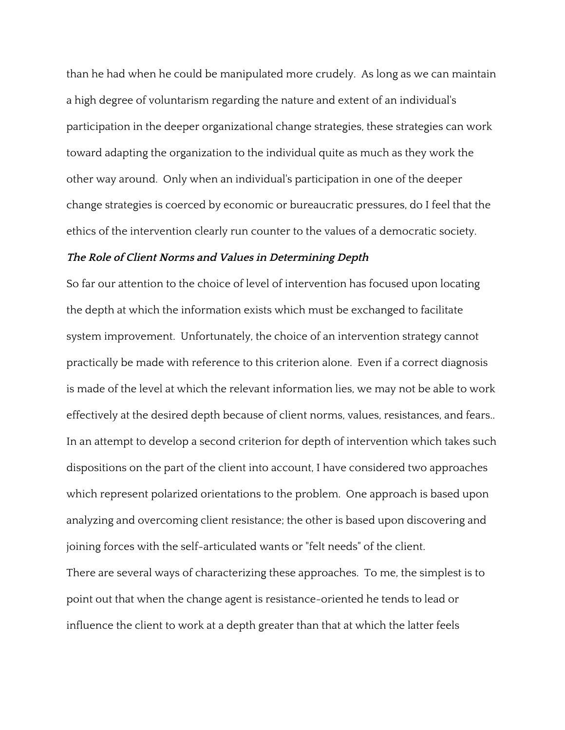than he had when he could be manipulated more crudely. As long as we can maintain a high degree of voluntarism regarding the nature and extent of an individual's participation in the deeper organizational change strategies, these strategies can work toward adapting the organization to the individual quite as much as they work the other way around. Only when an individual's participation in one of the deeper change strategies is coerced by economic or bureaucratic pressures, do I feel that the ethics of the intervention clearly run counter to the values of a democratic society.

#### **The Role of Client Norms and Values in Determining Depth**

So far our attention to the choice of level of intervention has focused upon locating the depth at which the information exists which must be exchanged to facilitate system improvement. Unfortunately, the choice of an intervention strategy cannot practically be made with reference to this criterion alone. Even if a correct diagnosis is made of the level at which the relevant information lies, we may not be able to work effectively at the desired depth because of client norms, values, resistances, and fears.. In an attempt to develop a second criterion for depth of intervention which takes such dispositions on the part of the client into account, I have considered two approaches which represent polarized orientations to the problem. One approach is based upon analyzing and overcoming client resistance; the other is based upon discovering and joining forces with the self-articulated wants or "felt needs" of the client. There are several ways of characterizing these approaches. To me, the simplest is to point out that when the change agent is resistance-oriented he tends to lead or influence the client to work at a depth greater than that at which the latter feels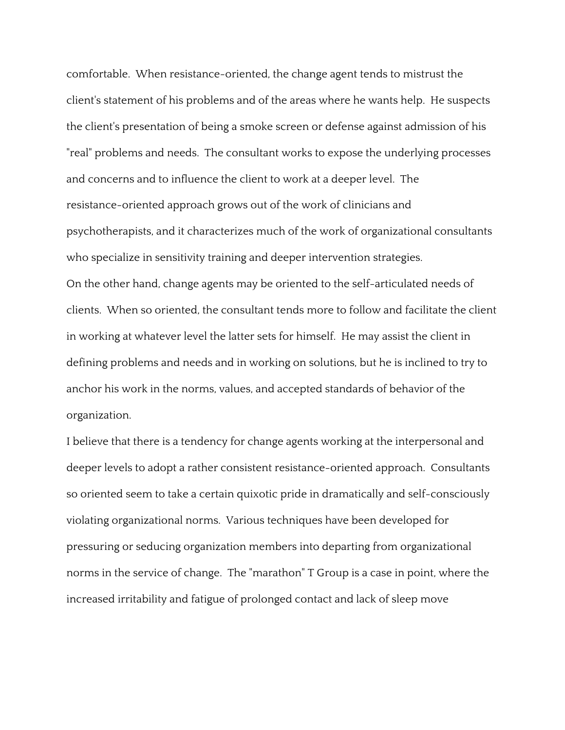comfortable. When resistance-oriented, the change agent tends to mistrust the client's statement of his problems and of the areas where he wants help. He suspects the client's presentation of being a smoke screen or defense against admission of his "real" problems and needs. The consultant works to expose the underlying processes and concerns and to influence the client to work at a deeper level. The resistance-oriented approach grows out of the work of clinicians and psychotherapists, and it characterizes much of the work of organizational consultants who specialize in sensitivity training and deeper intervention strategies. On the other hand, change agents may be oriented to the self-articulated needs of clients. When so oriented, the consultant tends more to follow and facilitate the client in working at whatever level the latter sets for himself. He may assist the client in defining problems and needs and in working on solutions, but he is inclined to try to anchor his work in the norms, values, and accepted standards of behavior of the organization.

I believe that there is a tendency for change agents working at the interpersonal and deeper levels to adopt a rather consistent resistance-oriented approach. Consultants so oriented seem to take a certain quixotic pride in dramatically and self-consciously violating organizational norms. Various techniques have been developed for pressuring or seducing organization members into departing from organizational norms in the service of change. The "marathon" T Group is a case in point, where the increased irritability and fatigue of prolonged contact and lack of sleep move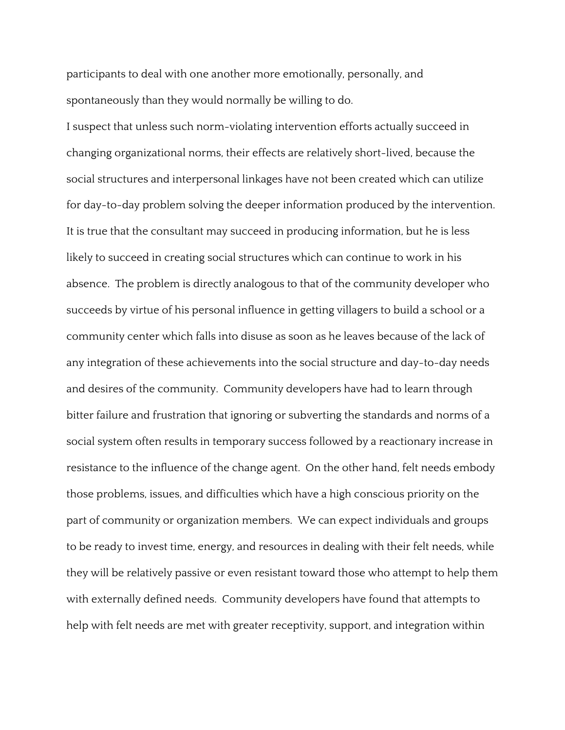participants to deal with one another more emotionally, personally, and spontaneously than they would normally be willing to do.

I suspect that unless such norm-violating intervention efforts actually succeed in changing organizational norms, their effects are relatively short-lived, because the social structures and interpersonal linkages have not been created which can utilize for day-to-day problem solving the deeper information produced by the intervention. It is true that the consultant may succeed in producing information, but he is less likely to succeed in creating social structures which can continue to work in his absence. The problem is directly analogous to that of the community developer who succeeds by virtue of his personal influence in getting villagers to build a school or a community center which falls into disuse as soon as he leaves because of the lack of any integration of these achievements into the social structure and day-to-day needs and desires of the community. Community developers have had to learn through bitter failure and frustration that ignoring or subverting the standards and norms of a social system often results in temporary success followed by a reactionary increase in resistance to the influence of the change agent. On the other hand, felt needs embody those problems, issues, and difficulties which have a high conscious priority on the part of community or organization members. We can expect individuals and groups to be ready to invest time, energy, and resources in dealing with their felt needs, while they will be relatively passive or even resistant toward those who attempt to help them with externally defined needs. Community developers have found that attempts to help with felt needs are met with greater receptivity, support, and integration within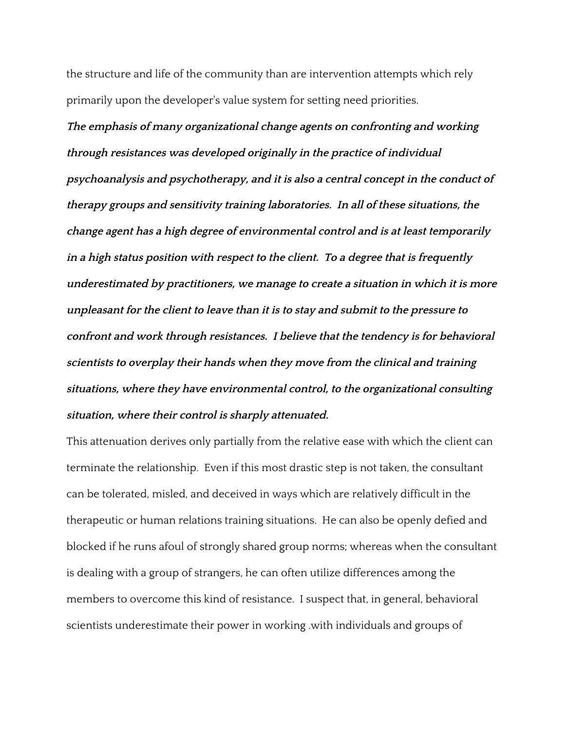the structure and life of the community than are intervention attempts which rely primarily upon the developer's value system for setting need priorities.

**The emphasis of many organizational change agents on confronting and working through resistances was developed originally in the practice of individual psychoanalysis and psychotherapy, and it is also <sup>a</sup> central concept in the conduct of therapy groups and sensitivity training laboratories. In all of these situations, the change agent has <sup>a</sup> high degree of environmental control and is at least temporarily in <sup>a</sup> high status position with respect to the client. To <sup>a</sup> degree that is frequently underestimated by practitioners, we manage to create <sup>a</sup> situation in which it is more unpleasant for the client to leave than it is to stay and submit to the pressure to confront and work through resistances. <sup>I</sup> believe that the tendency is for behavioral scientists to overplay their hands when they move from the clinical and training situations, where they have environmental control, to the organizational consulting situation, where their control is sharply attenuated.**

This attenuation derives only partially from the relative ease with which the client can terminate the relationship. Even if this most drastic step is not taken, the consultant can be tolerated, misled, and deceived in ways which are relatively difficult in the therapeutic or human relations training situations. He can also be openly defied and blocked if he runs afoul of strongly shared group norms; whereas when the consultant is dealing with a group of strangers, he can often utilize differences among the members to overcome this kind of resistance. I suspect that, in general, behavioral scientists underestimate their power in working .with individuals and groups of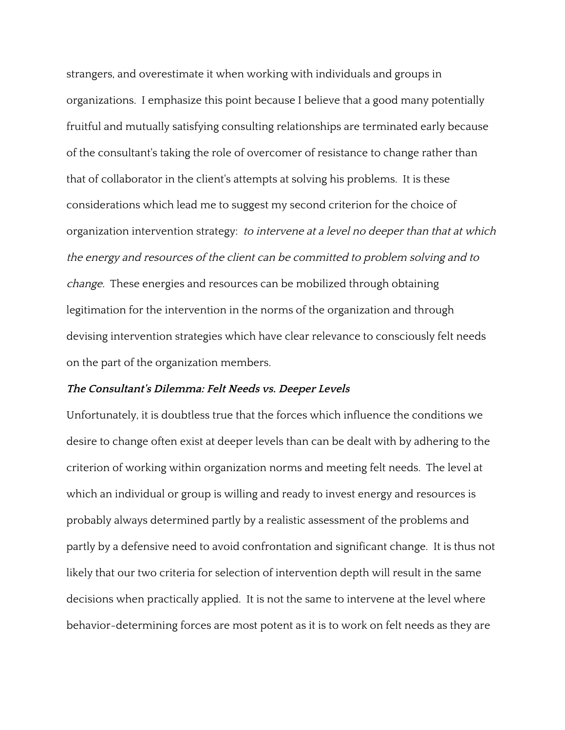strangers, and overestimate it when working with individuals and groups in organizations. I emphasize this point because I believe that a good many potentially fruitful and mutually satisfying consulting relationships are terminated early because of the consultant's taking the role of overcomer of resistance to change rather than that of collaborator in the client's attempts at solving his problems. It is these considerations which lead me to suggest my second criterion for the choice of organization intervention strategy: to intervene at <sup>a</sup> level no deeper than that at which the energy and resources of the client can be committed to problem solving and to change. These energies and resources can be mobilized through obtaining legitimation for the intervention in the norms of the organization and through devising intervention strategies which have clear relevance to consciously felt needs on the part of the organization members.

#### **The Consultant's Dilemma: Felt Needs vs. Deeper Levels**

Unfortunately, it is doubtless true that the forces which influence the conditions we desire to change often exist at deeper levels than can be dealt with by adhering to the criterion of working within organization norms and meeting felt needs. The level at which an individual or group is willing and ready to invest energy and resources is probably always determined partly by a realistic assessment of the problems and partly by a defensive need to avoid confrontation and significant change. It is thus not likely that our two criteria for selection of intervention depth will result in the same decisions when practically applied. It is not the same to intervene at the level where behavior-determining forces are most potent as it is to work on felt needs as they are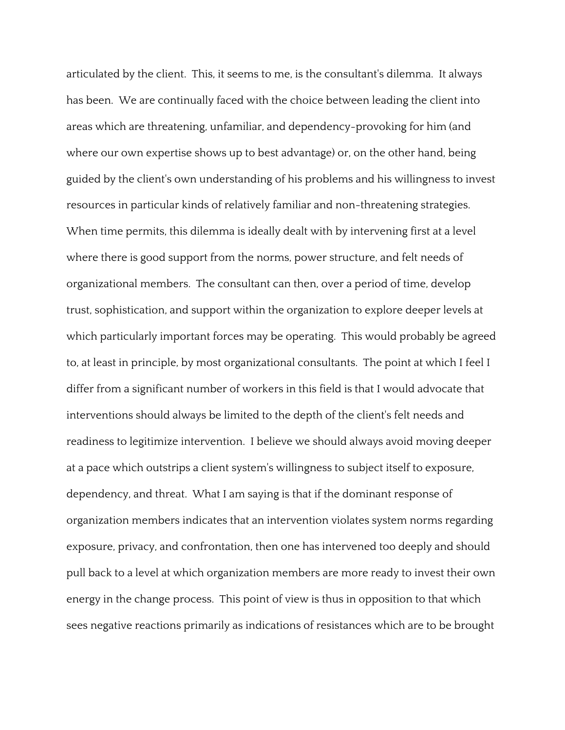articulated by the client. This, it seems to me, is the consultant's dilemma. It always has been. We are continually faced with the choice between leading the client into areas which are threatening, unfamiliar, and dependency-provoking for him (and where our own expertise shows up to best advantage) or, on the other hand, being guided by the client's own understanding of his problems and his willingness to invest resources in particular kinds of relatively familiar and non-threatening strategies. When time permits, this dilemma is ideally dealt with by intervening first at a level where there is good support from the norms, power structure, and felt needs of organizational members. The consultant can then, over a period of time, develop trust, sophistication, and support within the organization to explore deeper levels at which particularly important forces may be operating. This would probably be agreed to, at least in principle, by most organizational consultants. The point at which I feel I differ from a significant number of workers in this field is that I would advocate that interventions should always be limited to the depth of the client's felt needs and readiness to legitimize intervention. I believe we should always avoid moving deeper at a pace which outstrips a client system's willingness to subject itself to exposure, dependency, and threat. What I am saying is that if the dominant response of organization members indicates that an intervention violates system norms regarding exposure, privacy, and confrontation, then one has intervened too deeply and should pull back to a level at which organization members are more ready to invest their own energy in the change process. This point of view is thus in opposition to that which sees negative reactions primarily as indications of resistances which are to be brought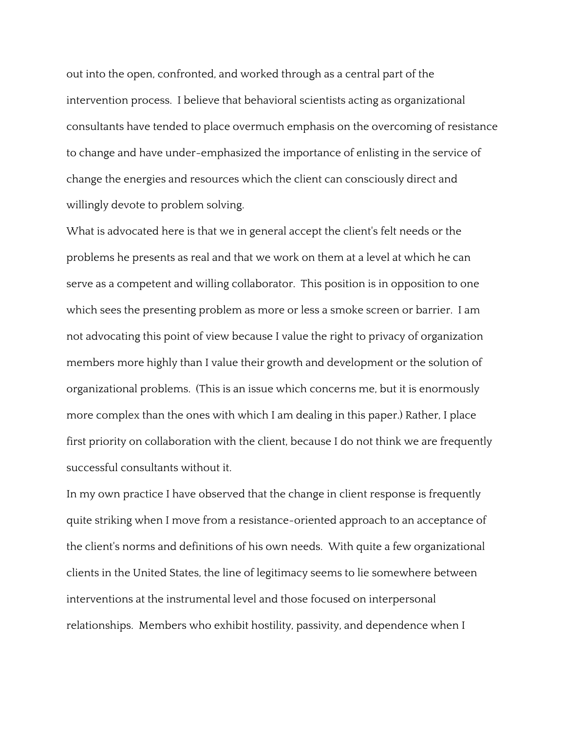out into the open, confronted, and worked through as a central part of the intervention process. I believe that behavioral scientists acting as organizational consultants have tended to place overmuch emphasis on the overcoming of resistance to change and have under-emphasized the importance of enlisting in the service of change the energies and resources which the client can consciously direct and willingly devote to problem solving.

What is advocated here is that we in general accept the client's felt needs or the problems he presents as real and that we work on them at a level at which he can serve as a competent and willing collaborator. This position is in opposition to one which sees the presenting problem as more or less a smoke screen or barrier. I am not advocating this point of view because I value the right to privacy of organization members more highly than I value their growth and development or the solution of organizational problems. (This is an issue which concerns me, but it is enormously more complex than the ones with which I am dealing in this paper.) Rather, I place first priority on collaboration with the client, because I do not think we are frequently successful consultants without it.

In my own practice I have observed that the change in client response is frequently quite striking when I move from a resistance-oriented approach to an acceptance of the client's norms and definitions of his own needs. With quite a few organizational clients in the United States, the line of legitimacy seems to lie somewhere between interventions at the instrumental level and those focused on interpersonal relationships. Members who exhibit hostility, passivity, and dependence when I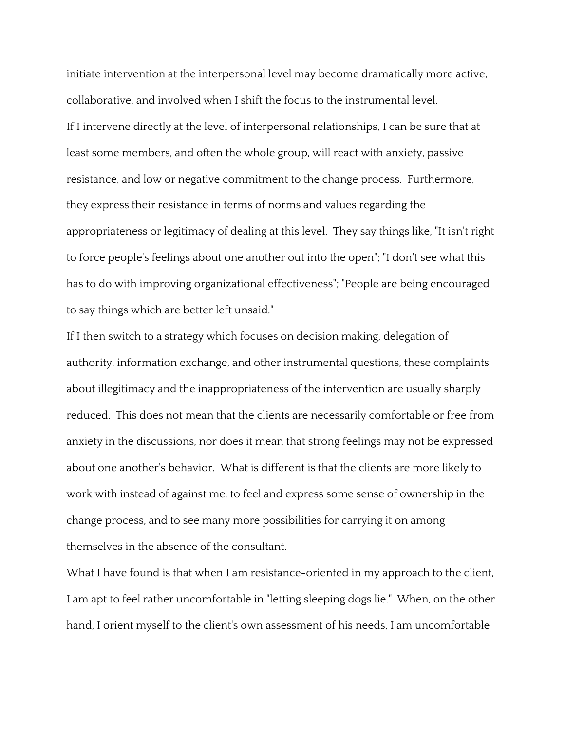initiate intervention at the interpersonal level may become dramatically more active, collaborative, and involved when I shift the focus to the instrumental level. If I intervene directly at the level of interpersonal relationships, I can be sure that at least some members, and often the whole group, will react with anxiety, passive resistance, and low or negative commitment to the change process. Furthermore, they express their resistance in terms of norms and values regarding the appropriateness or legitimacy of dealing at this level. They say things like, "It isn't right to force people's feelings about one another out into the open"; "I don't see what this has to do with improving organizational effectiveness"; "People are being encouraged to say things which are better left unsaid."

If I then switch to a strategy which focuses on decision making, delegation of authority, information exchange, and other instrumental questions, these complaints about illegitimacy and the inappropriateness of the intervention are usually sharply reduced. This does not mean that the clients are necessarily comfortable or free from anxiety in the discussions, nor does it mean that strong feelings may not be expressed about one another's behavior. What is different is that the clients are more likely to work with instead of against me, to feel and express some sense of ownership in the change process, and to see many more possibilities for carrying it on among themselves in the absence of the consultant.

What I have found is that when I am resistance-oriented in my approach to the client, I am apt to feel rather uncomfortable in "letting sleeping dogs lie." When, on the other hand, I orient myself to the client's own assessment of his needs, I am uncomfortable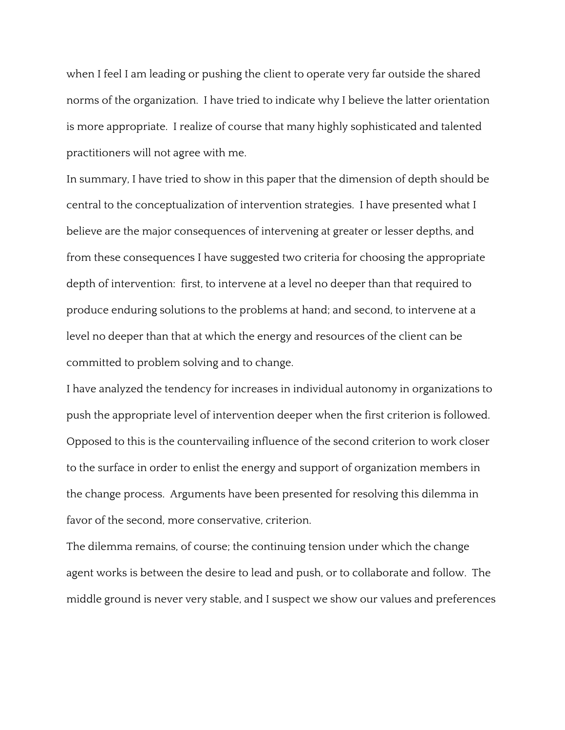when I feel I am leading or pushing the client to operate very far outside the shared norms of the organization. I have tried to indicate why I believe the latter orientation is more appropriate. I realize of course that many highly sophisticated and talented practitioners will not agree with me.

In summary, I have tried to show in this paper that the dimension of depth should be central to the conceptualization of intervention strategies. I have presented what I believe are the major consequences of intervening at greater or lesser depths, and from these consequences I have suggested two criteria for choosing the appropriate depth of intervention: first, to intervene at a level no deeper than that required to produce enduring solutions to the problems at hand; and second, to intervene at a level no deeper than that at which the energy and resources of the client can be committed to problem solving and to change.

I have analyzed the tendency for increases in individual autonomy in organizations to push the appropriate level of intervention deeper when the first criterion is followed. Opposed to this is the countervailing influence of the second criterion to work closer to the surface in order to enlist the energy and support of organization members in the change process. Arguments have been presented for resolving this dilemma in favor of the second, more conservative, criterion.

The dilemma remains, of course; the continuing tension under which the change agent works is between the desire to lead and push, or to collaborate and follow. The middle ground is never very stable, and I suspect we show our values and preferences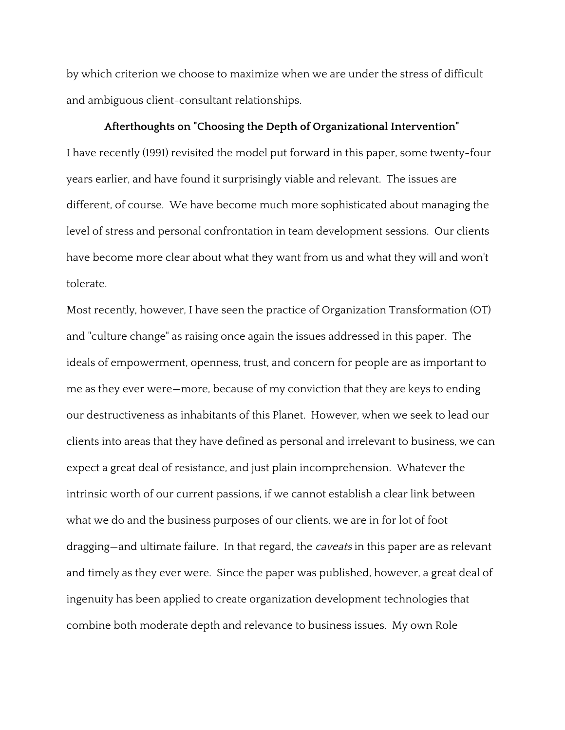by which criterion we choose to maximize when we are under the stress of difficult and ambiguous client-consultant relationships.

## **Afterthoughts on "Choosing the Depth of Organizational Intervention"**

I have recently (1991) revisited the model put forward in this paper, some twenty-four years earlier, and have found it surprisingly viable and relevant. The issues are different, of course. We have become much more sophisticated about managing the level of stress and personal confrontation in team development sessions. Our clients have become more clear about what they want from us and what they will and won't tolerate.

Most recently, however, I have seen the practice of Organization Transformation (OT) and "culture change" as raising once again the issues addressed in this paper. The ideals of empowerment, openness, trust, and concern for people are as important to me as they ever were—more, because of my conviction that they are keys to ending our destructiveness as inhabitants of this Planet. However, when we seek to lead our clients into areas that they have defined as personal and irrelevant to business, we can expect a great deal of resistance, and just plain incomprehension. Whatever the intrinsic worth of our current passions, if we cannot establish a clear link between what we do and the business purposes of our clients, we are in for lot of foot dragging—and ultimate failure. In that regard, the *caveats* in this paper are as relevant and timely as they ever were. Since the paper was published, however, a great deal of ingenuity has been applied to create organization development technologies that combine both moderate depth and relevance to business issues. My own Role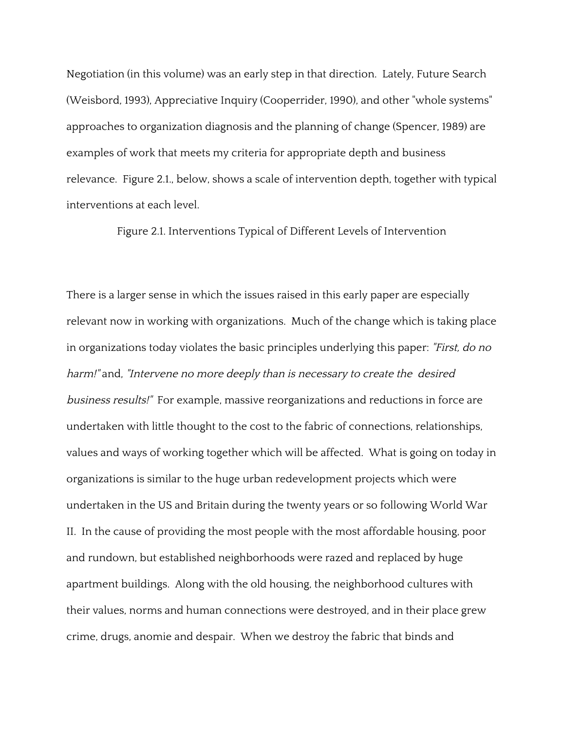Negotiation (in this volume) was an early step in that direction. Lately, Future Search (Weisbord, 1993), Appreciative Inquiry (Cooperrider, 1990), and other "whole systems" approaches to organization diagnosis and the planning of change (Spencer, 1989) are examples of work that meets my criteria for appropriate depth and business relevance. Figure 2.1., below, shows a scale of intervention depth, together with typical interventions at each level.

Figure 2.1. Interventions Typical of Different Levels of Intervention

There is a larger sense in which the issues raised in this early paper are especially relevant now in working with organizations. Much of the change which is taking place in organizations today violates the basic principles underlying this paper: "First, do no harm!" and, "Intervene no more deeply than is necessary to create the desired business results!" For example, massive reorganizations and reductions in force are undertaken with little thought to the cost to the fabric of connections, relationships, values and ways of working together which will be affected. What is going on today in organizations is similar to the huge urban redevelopment projects which were undertaken in the US and Britain during the twenty years or so following World War II. In the cause of providing the most people with the most affordable housing, poor and rundown, but established neighborhoods were razed and replaced by huge apartment buildings. Along with the old housing, the neighborhood cultures with their values, norms and human connections were destroyed, and in their place grew crime, drugs, anomie and despair. When we destroy the fabric that binds and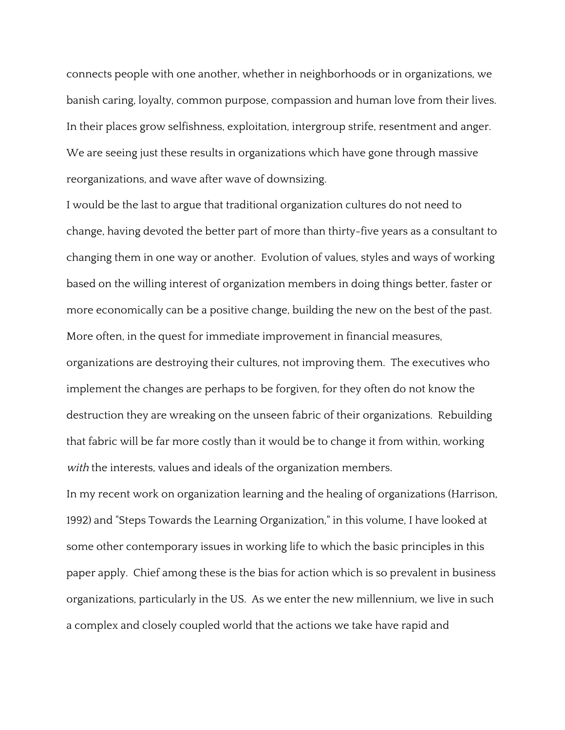connects people with one another, whether in neighborhoods or in organizations, we banish caring, loyalty, common purpose, compassion and human love from their lives. In their places grow selfishness, exploitation, intergroup strife, resentment and anger. We are seeing just these results in organizations which have gone through massive reorganizations, and wave after wave of downsizing.

I would be the last to argue that traditional organization cultures do not need to change, having devoted the better part of more than thirty-five years as a consultant to changing them in one way or another. Evolution of values, styles and ways of working based on the willing interest of organization members in doing things better, faster or more economically can be a positive change, building the new on the best of the past. More often, in the quest for immediate improvement in financial measures, organizations are destroying their cultures, not improving them. The executives who implement the changes are perhaps to be forgiven, for they often do not know the destruction they are wreaking on the unseen fabric of their organizations. Rebuilding that fabric will be far more costly than it would be to change it from within, working

In my recent work on organization learning and the healing of organizations (Harrison, 1992) and "Steps Towards the Learning Organization," in this volume, I have looked at some other contemporary issues in working life to which the basic principles in this paper apply. Chief among these is the bias for action which is so prevalent in business organizations, particularly in the US. As we enter the new millennium, we live in such a complex and closely coupled world that the actions we take have rapid and

with the interests, values and ideals of the organization members.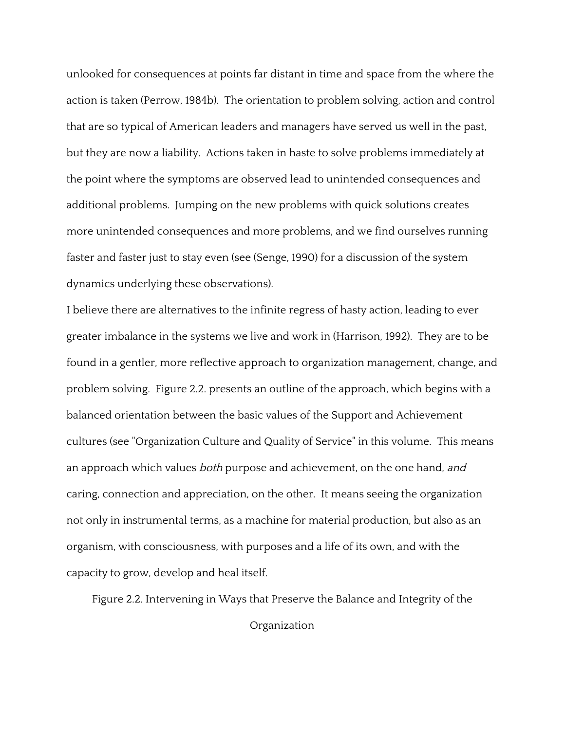unlooked for consequences at points far distant in time and space from the where the action is taken (Perrow, 1984b). The orientation to problem solving, action and control that are so typical of American leaders and managers have served us well in the past, but they are now a liability. Actions taken in haste to solve problems immediately at the point where the symptoms are observed lead to unintended consequences and additional problems. Jumping on the new problems with quick solutions creates more unintended consequences and more problems, and we find ourselves running faster and faster just to stay even (see (Senge, 1990) for a discussion of the system dynamics underlying these observations).

I believe there are alternatives to the infinite regress of hasty action, leading to ever greater imbalance in the systems we live and work in (Harrison, 1992). They are to be found in a gentler, more reflective approach to organization management, change, and problem solving. Figure 2.2. presents an outline of the approach, which begins with a balanced orientation between the basic values of the Support and Achievement cultures (see "Organization Culture and Quality of Service" in this volume. This means an approach which values *both* purpose and achievement, on the one hand, and caring, connection and appreciation, on the other. It means seeing the organization not only in instrumental terms, as a machine for material production, but also as an organism, with consciousness, with purposes and a life of its own, and with the capacity to grow, develop and heal itself.

Figure 2.2. Intervening in Ways that Preserve the Balance and Integrity of the Organization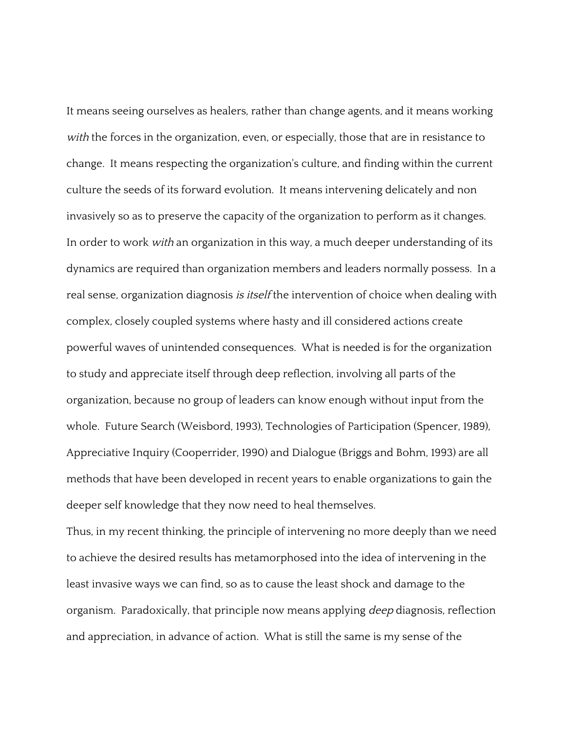It means seeing ourselves as healers, rather than change agents, and it means working with the forces in the organization, even, or especially, those that are in resistance to change. It means respecting the organization's culture, and finding within the current culture the seeds of its forward evolution. It means intervening delicately and non invasively so as to preserve the capacity of the organization to perform as it changes. In order to work with an organization in this way, a much deeper understanding of its dynamics are required than organization members and leaders normally possess. In a real sense, organization diagnosis is itself the intervention of choice when dealing with complex, closely coupled systems where hasty and ill considered actions create powerful waves of unintended consequences. What is needed is for the organization to study and appreciate itself through deep reflection, involving all parts of the organization, because no group of leaders can know enough without input from the whole. Future Search (Weisbord, 1993), Technologies of Participation (Spencer, 1989), Appreciative Inquiry (Cooperrider, 1990) and Dialogue (Briggs and Bohm, 1993) are all methods that have been developed in recent years to enable organizations to gain the deeper self knowledge that they now need to heal themselves.

Thus, in my recent thinking, the principle of intervening no more deeply than we need to achieve the desired results has metamorphosed into the idea of intervening in the least invasive ways we can find, so as to cause the least shock and damage to the organism. Paradoxically, that principle now means applying *deep* diagnosis, reflection and appreciation, in advance of action. What is still the same is my sense of the